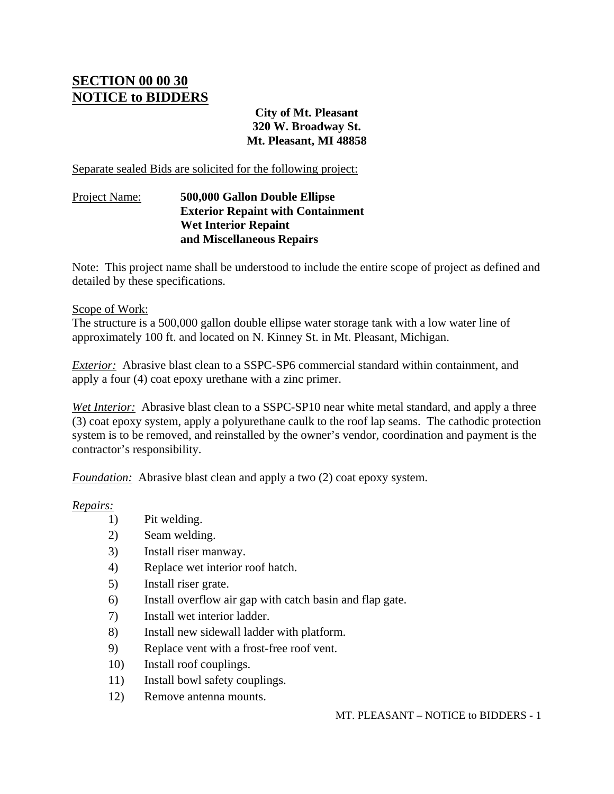## **SECTION 00 00 30 NOTICE to BIDDERS**

**City of Mt. Pleasant 320 W. Broadway St. Mt. Pleasant, MI 48858** 

Separate sealed Bids are solicited for the following project:

## Project Name: **500,000 Gallon Double Ellipse Exterior Repaint with Containment Wet Interior Repaint and Miscellaneous Repairs**

Note: This project name shall be understood to include the entire scope of project as defined and detailed by these specifications.

## Scope of Work:

The structure is a 500,000 gallon double ellipse water storage tank with a low water line of approximately 100 ft. and located on N. Kinney St. in Mt. Pleasant, Michigan.

*Exterior:* Abrasive blast clean to a SSPC-SP6 commercial standard within containment, and apply a four (4) coat epoxy urethane with a zinc primer.

*Wet Interior:* Abrasive blast clean to a SSPC-SP10 near white metal standard, and apply a three (3) coat epoxy system, apply a polyurethane caulk to the roof lap seams. The cathodic protection system is to be removed, and reinstalled by the owner's vendor, coordination and payment is the contractor's responsibility.

*Foundation:* Abrasive blast clean and apply a two (2) coat epoxy system.

## *Repairs:*

- 1) Pit welding.
- 2) Seam welding.
- 3) Install riser manway.
- 4) Replace wet interior roof hatch.
- 5) Install riser grate.
- 6) Install overflow air gap with catch basin and flap gate.
- 7) Install wet interior ladder.
- 8) Install new sidewall ladder with platform.
- 9) Replace vent with a frost-free roof vent.
- 10) Install roof couplings.
- 11) Install bowl safety couplings.
- 12) Remove antenna mounts.